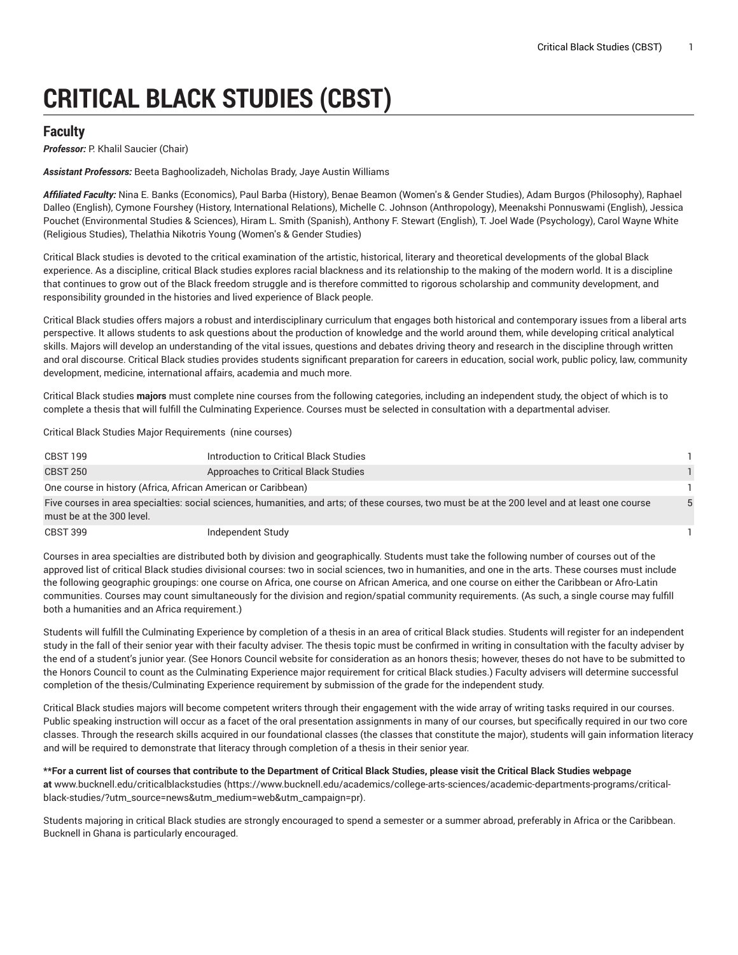# **CRITICAL BLACK STUDIES (CBST)**

# **Faculty**

**Professor:** P. Khalil Saucier (Chair)

*Assistant Professors:* Beeta Baghoolizadeh, Nicholas Brady, Jaye Austin Williams

*Affiliated Faculty:* Nina E. Banks (Economics), Paul Barba (History), Benae Beamon (Women's & Gender Studies), Adam Burgos (Philosophy), Raphael Dalleo (English), Cymone Fourshey (History, International Relations), Michelle C. Johnson (Anthropology), Meenakshi Ponnuswami (English), Jessica Pouchet (Environmental Studies & Sciences), Hiram L. Smith (Spanish), Anthony F. Stewart (English), T. Joel Wade (Psychology), Carol Wayne White (Religious Studies), Thelathia Nikotris Young (Women's & Gender Studies)

Critical Black studies is devoted to the critical examination of the artistic, historical, literary and theoretical developments of the global Black experience. As a discipline, critical Black studies explores racial blackness and its relationship to the making of the modern world. It is a discipline that continues to grow out of the Black freedom struggle and is therefore committed to rigorous scholarship and community development, and responsibility grounded in the histories and lived experience of Black people.

Critical Black studies offers majors a robust and interdisciplinary curriculum that engages both historical and contemporary issues from a liberal arts perspective. It allows students to ask questions about the production of knowledge and the world around them, while developing critical analytical skills. Majors will develop an understanding of the vital issues, questions and debates driving theory and research in the discipline through written and oral discourse. Critical Black studies provides students significant preparation for careers in education, social work, public policy, law, community development, medicine, international affairs, academia and much more.

Critical Black studies **majors** must complete nine courses from the following categories, including an independent study, the object of which is to complete a thesis that will fulfill the Culminating Experience. Courses must be selected in consultation with a departmental adviser.

Critical Black Studies Major Requirements (nine courses)

| CBST 199                                                                                                                                                                     | Introduction to Critical Black Studies |  |
|------------------------------------------------------------------------------------------------------------------------------------------------------------------------------|----------------------------------------|--|
| <b>CBST 250</b>                                                                                                                                                              | Approaches to Critical Black Studies   |  |
| One course in history (Africa, African American or Caribbean)                                                                                                                |                                        |  |
| Five courses in area specialties: social sciences, humanities, and arts; of these courses, two must be at the 200 level and at least one course<br>must be at the 300 level. |                                        |  |

| CBST 399 | Independent Study |  |
|----------|-------------------|--|
|          |                   |  |

Courses in area specialties are distributed both by division and geographically. Students must take the following number of courses out of the approved list of critical Black studies divisional courses: two in social sciences, two in humanities, and one in the arts. These courses must include the following geographic groupings: one course on Africa, one course on African America, and one course on either the Caribbean or Afro-Latin communities. Courses may count simultaneously for the division and region/spatial community requirements. (As such, a single course may fulfill both a humanities and an Africa requirement.)

Students will fulfill the Culminating Experience by completion of a thesis in an area of critical Black studies. Students will register for an independent study in the fall of their senior year with their faculty adviser. The thesis topic must be confirmed in writing in consultation with the faculty adviser by the end of a student's junior year. (See Honors Council website for consideration as an honors thesis; however, theses do not have to be submitted to the Honors Council to count as the Culminating Experience major requirement for critical Black studies.) Faculty advisers will determine successful completion of the thesis/Culminating Experience requirement by submission of the grade for the independent study.

Critical Black studies majors will become competent writers through their engagement with the wide array of writing tasks required in our courses. Public speaking instruction will occur as a facet of the oral presentation assignments in many of our courses, but specifically required in our two core classes. Through the research skills acquired in our foundational classes (the classes that constitute the major), students will gain information literacy and will be required to demonstrate that literacy through completion of a thesis in their senior year.

#### \*\*For a current list of courses that contribute to the Department of Critical Black Studies, please visit the Critical Black Studies webpage

**at** [www.bucknell.edu/criticalblackstudies](https://www.bucknell.edu/academics/college-arts-sciences/academic-departments-programs/critical-black-studies/?utm_source=news&utm_medium=web&utm_campaign=pr) ([https://www.bucknell.edu/academics/college-arts-sciences/academic-departments-programs/critical](https://www.bucknell.edu/academics/college-arts-sciences/academic-departments-programs/critical-black-studies/?utm_source=news&utm_medium=web&utm_campaign=pr)[black-studies/?utm\\_source=news&utm\\_medium=web&utm\\_campaign=pr\)](https://www.bucknell.edu/academics/college-arts-sciences/academic-departments-programs/critical-black-studies/?utm_source=news&utm_medium=web&utm_campaign=pr).

Students majoring in critical Black studies are strongly encouraged to spend a semester or a summer abroad, preferably in Africa or the Caribbean. Bucknell in Ghana is particularly encouraged.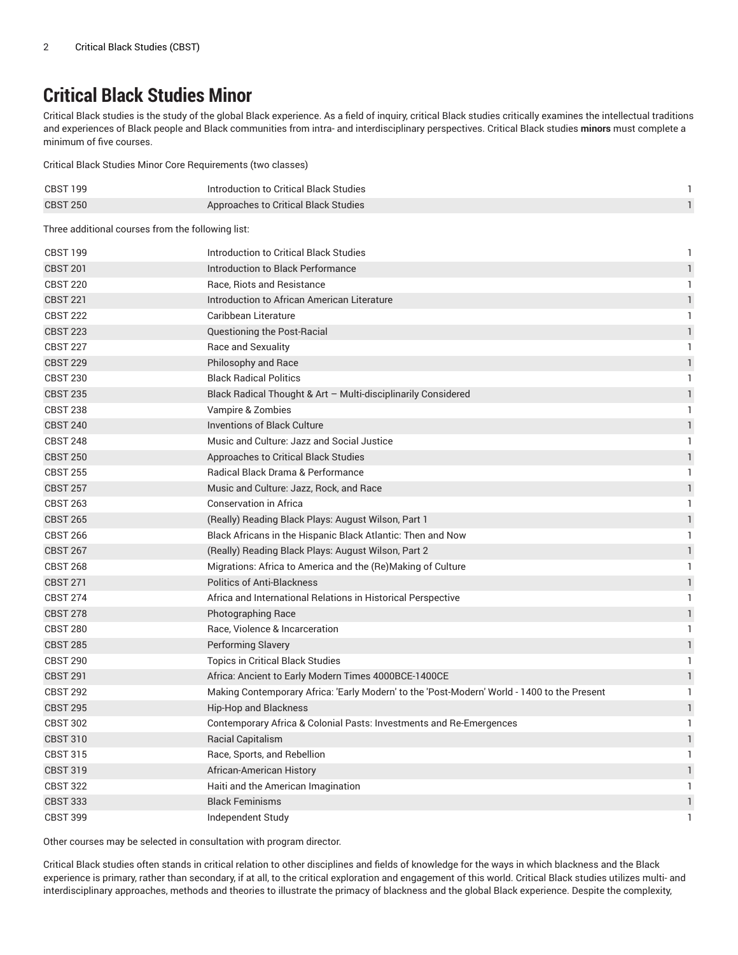# **Critical Black Studies Minor**

Critical Black studies is the study of the global Black experience. As a field of inquiry, critical Black studies critically examines the intellectual traditions and experiences of Black people and Black communities from intra- and interdisciplinary perspectives. Critical Black studies **minors** must complete a minimum of five courses.

Critical Black Studies Minor Core Requirements (two classes)

| <b>CBST 199</b> | Introduction to Critical Black Studies |  |
|-----------------|----------------------------------------|--|
| CBST 250        | Approaches to Critical Black Studies   |  |

Three additional courses from the following list:

| <b>CBST 199</b> | Introduction to Critical Black Studies                                                      | $\mathbf{1}$  |
|-----------------|---------------------------------------------------------------------------------------------|---------------|
| <b>CBST 201</b> | Introduction to Black Performance                                                           | $\mathbf{1}$  |
| <b>CBST 220</b> | Race, Riots and Resistance                                                                  | $\mathbf{1}$  |
| <b>CBST 221</b> | Introduction to African American Literature                                                 | $\mathbf{1}$  |
| <b>CBST 222</b> | Caribbean Literature                                                                        | 1             |
| <b>CBST 223</b> | Questioning the Post-Racial                                                                 | $\mathbf{1}$  |
| <b>CBST 227</b> | Race and Sexuality                                                                          | $\mathbf{1}$  |
| <b>CBST 229</b> | Philosophy and Race                                                                         | $\mathbf{1}$  |
| <b>CBST 230</b> | <b>Black Radical Politics</b>                                                               | 1             |
| <b>CBST 235</b> | Black Radical Thought & Art - Multi-disciplinarily Considered                               | $\mathbf{1}$  |
| <b>CBST 238</b> | Vampire & Zombies                                                                           | 1             |
| <b>CBST 240</b> | <b>Inventions of Black Culture</b>                                                          | $\mathbf{1}$  |
| <b>CBST 248</b> | Music and Culture: Jazz and Social Justice                                                  | 1             |
| <b>CBST 250</b> | Approaches to Critical Black Studies                                                        | $\mathbf{1}$  |
| <b>CBST 255</b> | <b>Radical Black Drama &amp; Performance</b>                                                | 1             |
| <b>CBST 257</b> | Music and Culture: Jazz, Rock, and Race                                                     | $\mathbbm{1}$ |
| <b>CBST 263</b> | <b>Conservation in Africa</b>                                                               | 1             |
| <b>CBST 265</b> | (Really) Reading Black Plays: August Wilson, Part 1                                         | $\mathbf{1}$  |
| <b>CBST 266</b> | Black Africans in the Hispanic Black Atlantic: Then and Now                                 | 1             |
| <b>CBST 267</b> | (Really) Reading Black Plays: August Wilson, Part 2                                         | $\mathbf{1}$  |
| <b>CBST 268</b> | Migrations: Africa to America and the (Re)Making of Culture                                 | $\mathbf{1}$  |
| <b>CBST 271</b> | <b>Politics of Anti-Blackness</b>                                                           | $\mathbbm{1}$ |
| <b>CBST 274</b> | Africa and International Relations in Historical Perspective                                | 1             |
| <b>CBST 278</b> | Photographing Race                                                                          | $\mathbbm{1}$ |
| <b>CBST 280</b> | Race, Violence & Incarceration                                                              | $\mathbf{1}$  |
| <b>CBST 285</b> | Performing Slavery                                                                          | $\mathbf{1}$  |
| <b>CBST 290</b> | Topics in Critical Black Studies                                                            | $\mathbf{1}$  |
| <b>CBST 291</b> | Africa: Ancient to Early Modern Times 4000BCE-1400CE                                        | $\mathbf{1}$  |
| <b>CBST 292</b> | Making Contemporary Africa: 'Early Modern' to the 'Post-Modern' World - 1400 to the Present | $\mathbf{1}$  |
| <b>CBST 295</b> | Hip-Hop and Blackness                                                                       | $\mathbbm{1}$ |
| <b>CBST 302</b> | Contemporary Africa & Colonial Pasts: Investments and Re-Emergences                         | 1             |
| <b>CBST 310</b> | <b>Racial Capitalism</b>                                                                    | $\mathbf{1}$  |
| <b>CBST 315</b> | Race, Sports, and Rebellion                                                                 | 1             |
| <b>CBST 319</b> | African-American History                                                                    | $\mathbf{1}$  |
| <b>CBST 322</b> | Haiti and the American Imagination                                                          | 1             |
| <b>CBST 333</b> | <b>Black Feminisms</b>                                                                      | $\mathbf{1}$  |
| <b>CBST 399</b> | Independent Study                                                                           | 1             |

Other courses may be selected in consultation with program director.

Critical Black studies often stands in critical relation to other disciplines and fields of knowledge for the ways in which blackness and the Black experience is primary, rather than secondary, if at all, to the critical exploration and engagement of this world. Critical Black studies utilizes multi- and interdisciplinary approaches, methods and theories to illustrate the primacy of blackness and the global Black experience. Despite the complexity,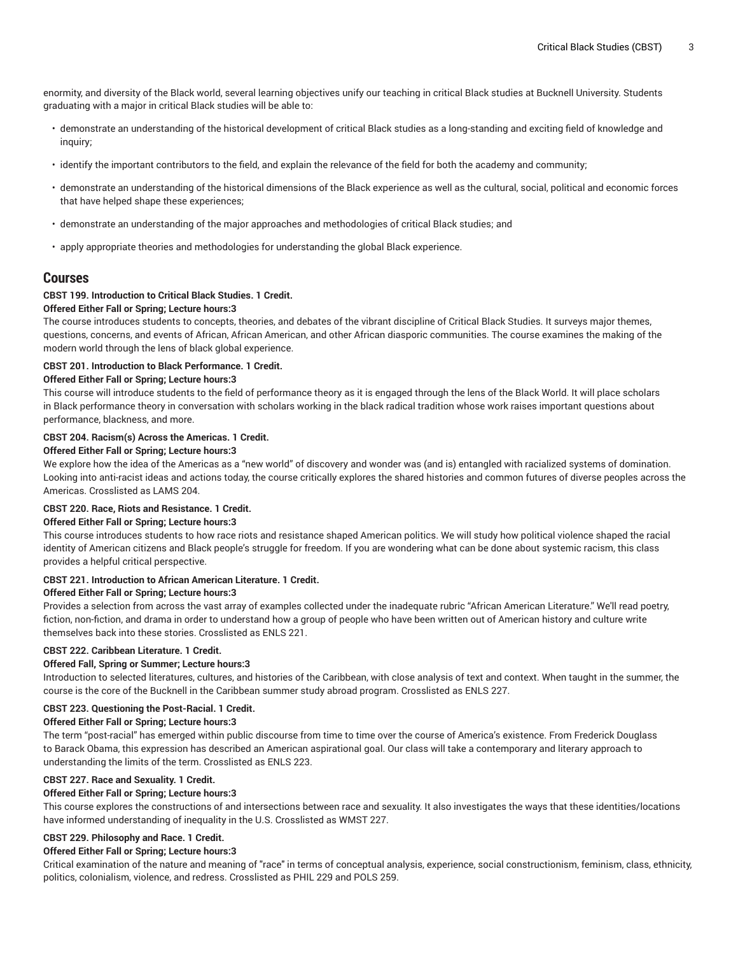enormity, and diversity of the Black world, several learning objectives unify our teaching in critical Black studies at Bucknell University. Students graduating with a major in critical Black studies will be able to:

- demonstrate an understanding of the historical development of critical Black studies as a long-standing and exciting field of knowledge and inquiry;
- identify the important contributors to the field, and explain the relevance of the field for both the academy and community;
- demonstrate an understanding of the historical dimensions of the Black experience as well as the cultural, social, political and economic forces that have helped shape these experiences;
- demonstrate an understanding of the major approaches and methodologies of critical Black studies; and
- apply appropriate theories and methodologies for understanding the global Black experience.

# **Courses**

# **CBST 199. Introduction to Critical Black Studies. 1 Credit.**

#### **Offered Either Fall or Spring; Lecture hours:3**

The course introduces students to concepts, theories, and debates of the vibrant discipline of Critical Black Studies. It surveys major themes, questions, concerns, and events of African, African American, and other African diasporic communities. The course examines the making of the modern world through the lens of black global experience.

#### **CBST 201. Introduction to Black Performance. 1 Credit.**

#### **Offered Either Fall or Spring; Lecture hours:3**

This course will introduce students to the field of performance theory as it is engaged through the lens of the Black World. It will place scholars in Black performance theory in conversation with scholars working in the black radical tradition whose work raises important questions about performance, blackness, and more.

### **CBST 204. Racism(s) Across the Americas. 1 Credit.**

# **Offered Either Fall or Spring; Lecture hours:3**

We explore how the idea of the Americas as a "new world" of discovery and wonder was (and is) entangled with racialized systems of domination. Looking into anti-racist ideas and actions today, the course critically explores the shared histories and common futures of diverse peoples across the Americas. Crosslisted as LAMS 204.

#### **CBST 220. Race, Riots and Resistance. 1 Credit.**

#### **Offered Either Fall or Spring; Lecture hours:3**

This course introduces students to how race riots and resistance shaped American politics. We will study how political violence shaped the racial identity of American citizens and Black people's struggle for freedom. If you are wondering what can be done about systemic racism, this class provides a helpful critical perspective.

#### **CBST 221. Introduction to African American Literature. 1 Credit.**

#### **Offered Either Fall or Spring; Lecture hours:3**

Provides a selection from across the vast array of examples collected under the inadequate rubric "African American Literature." We'll read poetry, fiction, non-fiction, and drama in order to understand how a group of people who have been written out of American history and culture write themselves back into these stories. Crosslisted as ENLS 221.

#### **CBST 222. Caribbean Literature. 1 Credit.**

#### **Offered Fall, Spring or Summer; Lecture hours:3**

Introduction to selected literatures, cultures, and histories of the Caribbean, with close analysis of text and context. When taught in the summer, the course is the core of the Bucknell in the Caribbean summer study abroad program. Crosslisted as ENLS 227.

#### **CBST 223. Questioning the Post-Racial. 1 Credit.**

#### **Offered Either Fall or Spring; Lecture hours:3**

The term "post-racial" has emerged within public discourse from time to time over the course of America's existence. From Frederick Douglass to Barack Obama, this expression has described an American aspirational goal. Our class will take a contemporary and literary approach to understanding the limits of the term. Crosslisted as ENLS 223.

#### **CBST 227. Race and Sexuality. 1 Credit.**

#### **Offered Either Fall or Spring; Lecture hours:3**

This course explores the constructions of and intersections between race and sexuality. It also investigates the ways that these identities/locations have informed understanding of inequality in the U.S. Crosslisted as WMST 227.

# **CBST 229. Philosophy and Race. 1 Credit.**

#### **Offered Either Fall or Spring; Lecture hours:3**

Critical examination of the nature and meaning of "race" in terms of conceptual analysis, experience, social constructionism, feminism, class, ethnicity, politics, colonialism, violence, and redress. Crosslisted as PHIL 229 and POLS 259.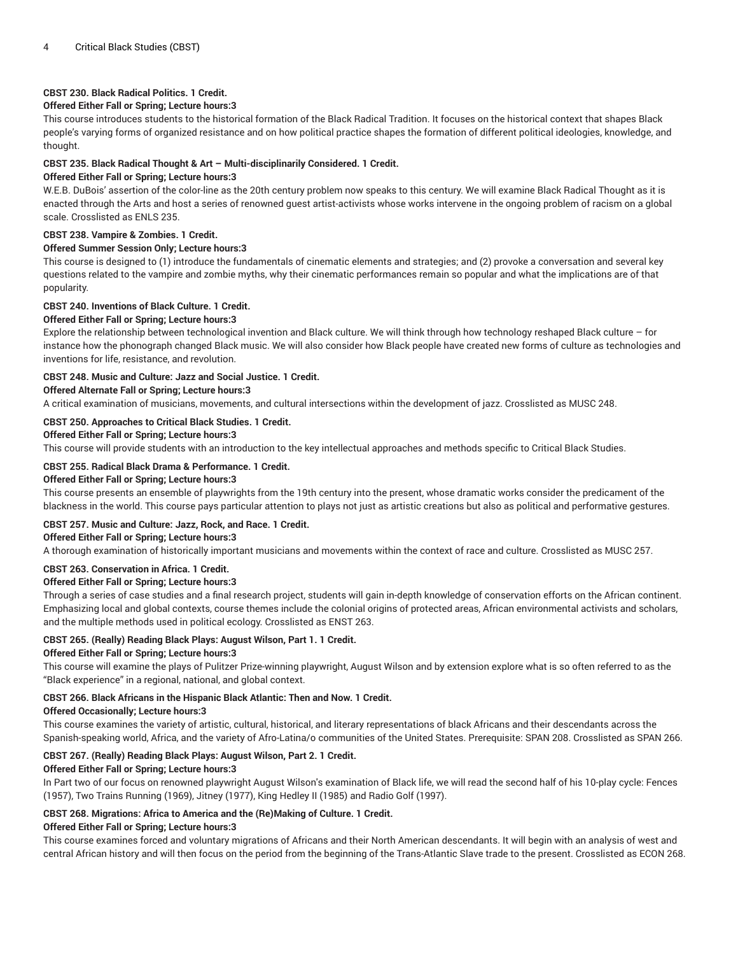# **CBST 230. Black Radical Politics. 1 Credit.**

# **Offered Either Fall or Spring; Lecture hours:3**

This course introduces students to the historical formation of the Black Radical Tradition. It focuses on the historical context that shapes Black people's varying forms of organized resistance and on how political practice shapes the formation of different political ideologies, knowledge, and thought.

# **CBST 235. Black Radical Thought & Art – Multi-disciplinarily Considered. 1 Credit.**

# **Offered Either Fall or Spring; Lecture hours:3**

W.E.B. DuBois' assertion of the color-line as the 20th century problem now speaks to this century. We will examine Black Radical Thought as it is enacted through the Arts and host a series of renowned guest artist-activists whose works intervene in the ongoing problem of racism on a global scale. Crosslisted as ENLS 235.

# **CBST 238. Vampire & Zombies. 1 Credit.**

# **Offered Summer Session Only; Lecture hours:3**

This course is designed to (1) introduce the fundamentals of cinematic elements and strategies; and (2) provoke a conversation and several key questions related to the vampire and zombie myths, why their cinematic performances remain so popular and what the implications are of that popularity.

# **CBST 240. Inventions of Black Culture. 1 Credit.**

# **Offered Either Fall or Spring; Lecture hours:3**

Explore the relationship between technological invention and Black culture. We will think through how technology reshaped Black culture – for instance how the phonograph changed Black music. We will also consider how Black people have created new forms of culture as technologies and inventions for life, resistance, and revolution.

# **CBST 248. Music and Culture: Jazz and Social Justice. 1 Credit.**

#### **Offered Alternate Fall or Spring; Lecture hours:3**

A critical examination of musicians, movements, and cultural intersections within the development of jazz. Crosslisted as MUSC 248.

# **CBST 250. Approaches to Critical Black Studies. 1 Credit.**

# **Offered Either Fall or Spring; Lecture hours:3**

This course will provide students with an introduction to the key intellectual approaches and methods specific to Critical Black Studies.

# **CBST 255. Radical Black Drama & Performance. 1 Credit.**

# **Offered Either Fall or Spring; Lecture hours:3**

This course presents an ensemble of playwrights from the 19th century into the present, whose dramatic works consider the predicament of the blackness in the world. This course pays particular attention to plays not just as artistic creations but also as political and performative gestures.

# **CBST 257. Music and Culture: Jazz, Rock, and Race. 1 Credit.**

# **Offered Either Fall or Spring; Lecture hours:3**

A thorough examination of historically important musicians and movements within the context of race and culture. Crosslisted as MUSC 257.

# **CBST 263. Conservation in Africa. 1 Credit.**

#### **Offered Either Fall or Spring; Lecture hours:3**

Through a series of case studies and a final research project, students will gain in-depth knowledge of conservation efforts on the African continent. Emphasizing local and global contexts, course themes include the colonial origins of protected areas, African environmental activists and scholars, and the multiple methods used in political ecology. Crosslisted as ENST 263.

# **CBST 265. (Really) Reading Black Plays: August Wilson, Part 1. 1 Credit.**

# **Offered Either Fall or Spring; Lecture hours:3**

This course will examine the plays of Pulitzer Prize-winning playwright, August Wilson and by extension explore what is so often referred to as the "Black experience" in a regional, national, and global context.

# **CBST 266. Black Africans in the Hispanic Black Atlantic: Then and Now. 1 Credit.**

#### **Offered Occasionally; Lecture hours:3**

This course examines the variety of artistic, cultural, historical, and literary representations of black Africans and their descendants across the Spanish-speaking world, Africa, and the variety of Afro-Latina/o communities of the United States. Prerequisite: SPAN 208. Crosslisted as SPAN 266.

# **CBST 267. (Really) Reading Black Plays: August Wilson, Part 2. 1 Credit.**

#### **Offered Either Fall or Spring; Lecture hours:3**

In Part two of our focus on renowned playwright August Wilson's examination of Black life, we will read the second half of his 10-play cycle: Fences (1957), Two Trains Running (1969), Jitney (1977), King Hedley II (1985) and Radio Golf (1997).

# **CBST 268. Migrations: Africa to America and the (Re)Making of Culture. 1 Credit.**

# **Offered Either Fall or Spring; Lecture hours:3**

This course examines forced and voluntary migrations of Africans and their North American descendants. It will begin with an analysis of west and central African history and will then focus on the period from the beginning of the Trans-Atlantic Slave trade to the present. Crosslisted as ECON 268.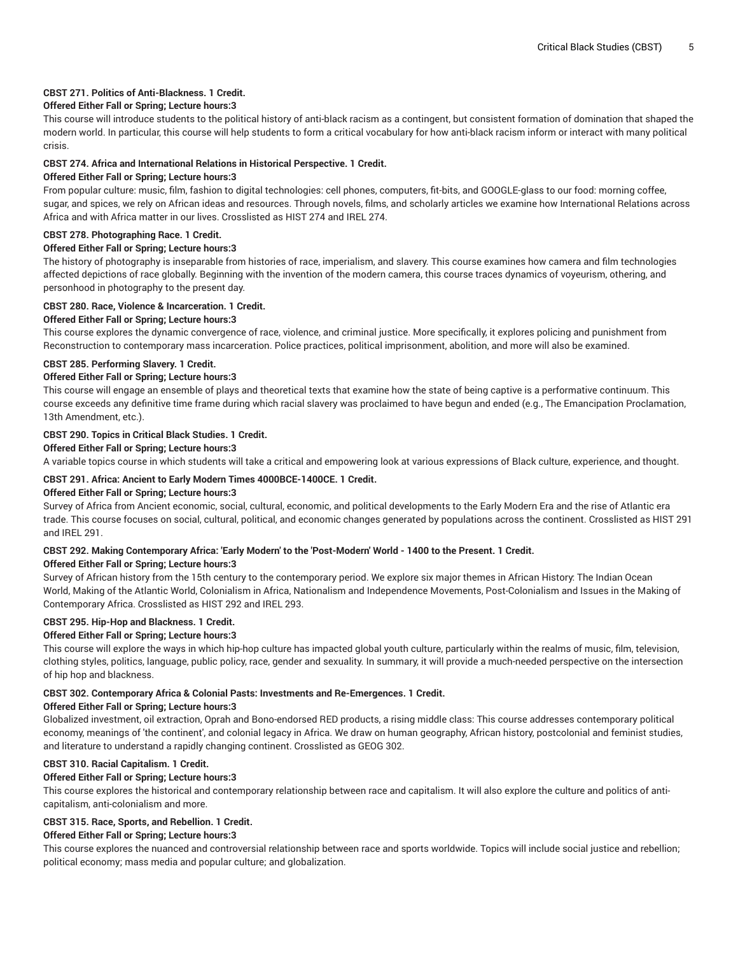#### **CBST 271. Politics of Anti-Blackness. 1 Credit.**

#### **Offered Either Fall or Spring; Lecture hours:3**

This course will introduce students to the political history of anti-black racism as a contingent, but consistent formation of domination that shaped the modern world. In particular, this course will help students to form a critical vocabulary for how anti-black racism inform or interact with many political crisis.

#### **CBST 274. Africa and International Relations in Historical Perspective. 1 Credit.**

#### **Offered Either Fall or Spring; Lecture hours:3**

From popular culture: music, film, fashion to digital technologies: cell phones, computers, fit-bits, and GOOGLE-glass to our food: morning coffee, sugar, and spices, we rely on African ideas and resources. Through novels, films, and scholarly articles we examine how International Relations across Africa and with Africa matter in our lives. Crosslisted as HIST 274 and IREL 274.

#### **CBST 278. Photographing Race. 1 Credit.**

#### **Offered Either Fall or Spring; Lecture hours:3**

The history of photography is inseparable from histories of race, imperialism, and slavery. This course examines how camera and film technologies affected depictions of race globally. Beginning with the invention of the modern camera, this course traces dynamics of voyeurism, othering, and personhood in photography to the present day.

#### **CBST 280. Race, Violence & Incarceration. 1 Credit.**

# **Offered Either Fall or Spring; Lecture hours:3**

This course explores the dynamic convergence of race, violence, and criminal justice. More specifically, it explores policing and punishment from Reconstruction to contemporary mass incarceration. Police practices, political imprisonment, abolition, and more will also be examined.

#### **CBST 285. Performing Slavery. 1 Credit.**

#### **Offered Either Fall or Spring; Lecture hours:3**

This course will engage an ensemble of plays and theoretical texts that examine how the state of being captive is a performative continuum. This course exceeds any definitive time frame during which racial slavery was proclaimed to have begun and ended (e.g., The Emancipation Proclamation, 13th Amendment, etc.).

#### **CBST 290. Topics in Critical Black Studies. 1 Credit.**

#### **Offered Either Fall or Spring; Lecture hours:3**

A variable topics course in which students will take a critical and empowering look at various expressions of Black culture, experience, and thought.

#### **CBST 291. Africa: Ancient to Early Modern Times 4000BCE-1400CE. 1 Credit.**

#### **Offered Either Fall or Spring; Lecture hours:3**

Survey of Africa from Ancient economic, social, cultural, economic, and political developments to the Early Modern Era and the rise of Atlantic era trade. This course focuses on social, cultural, political, and economic changes generated by populations across the continent. Crosslisted as HIST 291 and IREL 291.

# CBST 292. Making Contemporary Africa: 'Early Modern' to the 'Post-Modern' World - 1400 to the Present. 1 Credit.

#### **Offered Either Fall or Spring; Lecture hours:3**

Survey of African history from the 15th century to the contemporary period. We explore six major themes in African History: The Indian Ocean World, Making of the Atlantic World, Colonialism in Africa, Nationalism and Independence Movements, Post-Colonialism and Issues in the Making of Contemporary Africa. Crosslisted as HIST 292 and IREL 293.

# **CBST 295. Hip-Hop and Blackness. 1 Credit.**

#### **Offered Either Fall or Spring; Lecture hours:3**

This course will explore the ways in which hip-hop culture has impacted global youth culture, particularly within the realms of music, film, television, clothing styles, politics, language, public policy, race, gender and sexuality. In summary, it will provide a much-needed perspective on the intersection of hip hop and blackness.

#### **CBST 302. Contemporary Africa & Colonial Pasts: Investments and Re-Emergences. 1 Credit.**

#### **Offered Either Fall or Spring; Lecture hours:3**

Globalized investment, oil extraction, Oprah and Bono-endorsed RED products, a rising middle class: This course addresses contemporary political economy, meanings of 'the continent', and colonial legacy in Africa. We draw on human geography, African history, postcolonial and feminist studies, and literature to understand a rapidly changing continent. Crosslisted as GEOG 302.

#### **CBST 310. Racial Capitalism. 1 Credit.**

#### **Offered Either Fall or Spring; Lecture hours:3**

This course explores the historical and contemporary relationship between race and capitalism. It will also explore the culture and politics of anticapitalism, anti-colonialism and more.

# **CBST 315. Race, Sports, and Rebellion. 1 Credit.**

#### **Offered Either Fall or Spring; Lecture hours:3**

This course explores the nuanced and controversial relationship between race and sports worldwide. Topics will include social justice and rebellion; political economy; mass media and popular culture; and globalization.